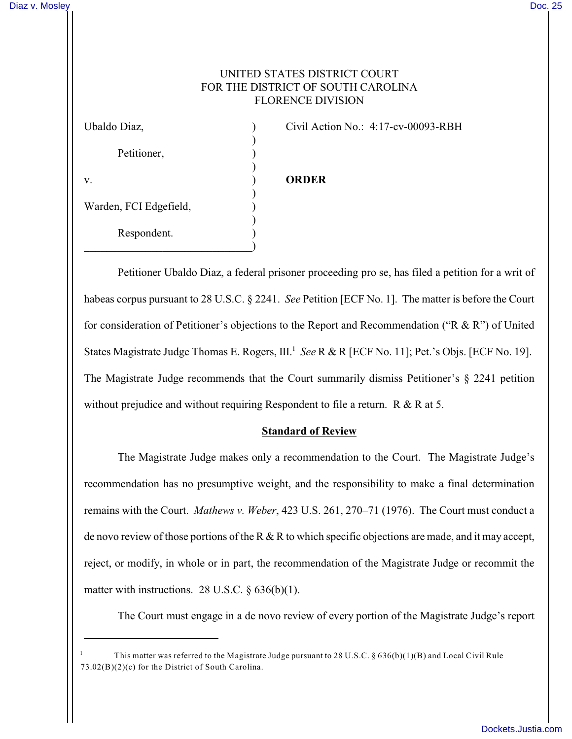# UNITED STATES DISTRICT COURT FOR THE DISTRICT OF SOUTH CAROLINA FLORENCE DIVISION

| Ubaldo Diaz,           |  |
|------------------------|--|
| Petitioner,            |  |
|                        |  |
| V.                     |  |
| Warden, FCI Edgefield, |  |
| Respondent.            |  |
|                        |  |

Civil Action No.:  $4:17$ -cv-00093-RBH

# v. ) **ORDER**

Petitioner Ubaldo Diaz, a federal prisoner proceeding pro se, has filed a petition for a writ of habeas corpus pursuant to 28 U.S.C. § 2241. *See* Petition [ECF No. 1]. The matter is before the Court for consideration of Petitioner's objections to the Report and Recommendation ("R & R") of United States Magistrate Judge Thomas E. Rogers, III.<sup>1</sup> See R & R [ECF No. 11]; Pet.'s Objs. [ECF No. 19]. The Magistrate Judge recommends that the Court summarily dismiss Petitioner's  $\S$  2241 petition without prejudice and without requiring Respondent to file a return. R & R at 5.

### **Standard of Review**

The Magistrate Judge makes only a recommendation to the Court. The Magistrate Judge's recommendation has no presumptive weight, and the responsibility to make a final determination remains with the Court. *Mathews v. Weber*, 423 U.S. 261, 270–71 (1976). The Court must conduct a de novo review of those portions of the R & R to which specific objections are made, and it may accept, reject, or modify, in whole or in part, the recommendation of the Magistrate Judge or recommit the matter with instructions. 28 U.S.C.  $\S 636(b)(1)$ .

The Court must engage in a de novo review of every portion of the Magistrate Judge's report

This matter was referred to the Magistrate Judge pursuant to 28 U.S.C. § 636(b)(1)(B) and Local Civil Rule 73.02(B)(2)(c) for the District of South Carolina.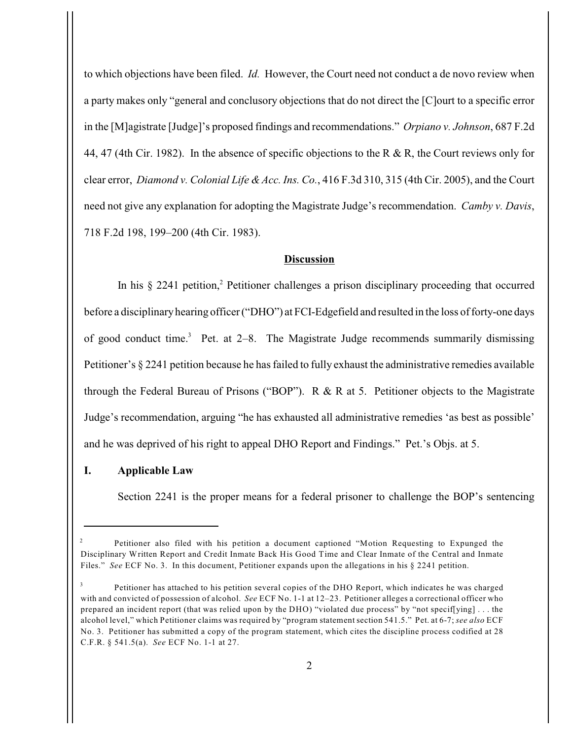to which objections have been filed. *Id.* However, the Court need not conduct a de novo review when a party makes only "general and conclusory objections that do not direct the [C]ourt to a specific error in the [M]agistrate [Judge]'s proposed findings and recommendations." *Orpiano v. Johnson*, 687 F.2d 44, 47 (4th Cir. 1982). In the absence of specific objections to the R & R, the Court reviews only for clear error, *Diamond v. Colonial Life & Acc. Ins. Co.*, 416 F.3d 310, 315 (4th Cir. 2005), and the Court need not give any explanation for adopting the Magistrate Judge's recommendation. *Camby v. Davis*, 718 F.2d 198, 199–200 (4th Cir. 1983).

## **Discussion**

In his  $\S 2241$  petition,<sup>2</sup> Petitioner challenges a prison disciplinary proceeding that occurred before a disciplinary hearing officer ("DHO") at FCI-Edgefield and resulted in the loss of forty-one days of good conduct time.<sup>3</sup> Pet. at  $2-8$ . The Magistrate Judge recommends summarily dismissing Petitioner's § 2241 petition because he has failed to fully exhaust the administrative remedies available through the Federal Bureau of Prisons ("BOP"). R & R at 5. Petitioner objects to the Magistrate Judge's recommendation, arguing "he has exhausted all administrative remedies 'as best as possible' and he was deprived of his right to appeal DHO Report and Findings." Pet.'s Objs. at 5.

### **I. Applicable Law**

Section 2241 is the proper means for a federal prisoner to challenge the BOP's sentencing

Petitioner also filed with his petition a document captioned "Motion Requesting to Expunged the Disciplinary Written Report and Credit Inmate Back His Good Time and Clear Inmate of the Central and Inmate Files." *See* ECF No. 3. In this document, Petitioner expands upon the allegations in his § 2241 petition.

Petitioner has attached to his petition several copies of the DHO Report, which indicates he was charged with and convicted of possession of alcohol. *See* ECF No. 1-1 at 12–23. Petitioner alleges a correctional officer who prepared an incident report (that was relied upon by the DHO) "violated due process" by "not specif[ying] . . . the alcohol level," which Petitioner claims was required by "program statement section 541.5." Pet. at 6-7; *see also* ECF No. 3. Petitioner has submitted a copy of the program statement, which cites the discipline process codified at 28 C.F.R. § 541.5(a). *See* ECF No. 1-1 at 27.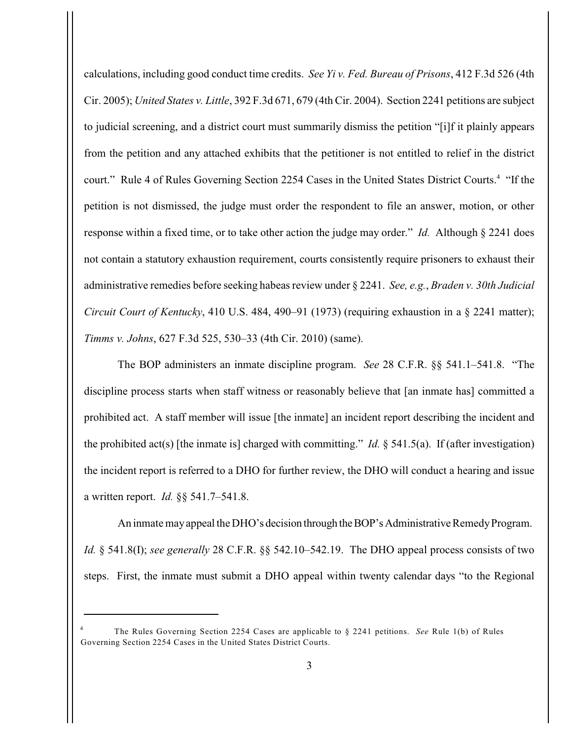calculations, including good conduct time credits. *See Yi v. Fed. Bureau of Prisons*, 412 F.3d 526 (4th Cir. 2005); *United States v. Little*, 392 F.3d 671, 679 (4th Cir. 2004). Section 2241 petitions are subject to judicial screening, and a district court must summarily dismiss the petition "[i]f it plainly appears from the petition and any attached exhibits that the petitioner is not entitled to relief in the district court." Rule 4 of Rules Governing Section 2254 Cases in the United States District Courts.<sup>4</sup> "If the petition is not dismissed, the judge must order the respondent to file an answer, motion, or other response within a fixed time, or to take other action the judge may order." *Id.* Although § 2241 does not contain a statutory exhaustion requirement, courts consistently require prisoners to exhaust their administrative remedies before seeking habeas review under § 2241. *See, e.g.*, *Braden v. 30th Judicial Circuit Court of Kentucky*, 410 U.S. 484, 490–91 (1973) (requiring exhaustion in a § 2241 matter); *Timms v. Johns*, 627 F.3d 525, 530–33 (4th Cir. 2010) (same).

The BOP administers an inmate discipline program. *See* 28 C.F.R. §§ 541.1–541.8. "The discipline process starts when staff witness or reasonably believe that [an inmate has] committed a prohibited act. A staff member will issue [the inmate] an incident report describing the incident and the prohibited act(s) [the inmate is] charged with committing." *Id.*  $\S$  541.5(a). If (after investigation) the incident report is referred to a DHO for further review, the DHO will conduct a hearing and issue a written report. *Id.* §§ 541.7–541.8.

An inmate may appeal the DHO's decision through the BOP's Administrative Remedy Program. *Id.* § 541.8(I); *see generally* 28 C.F.R. §§ 542.10–542.19. The DHO appeal process consists of two steps. First, the inmate must submit a DHO appeal within twenty calendar days "to the Regional

The Rules Governing Section 2254 Cases are applicable to § 2241 petitions. *See* Rule 1(b) of Rules <sup>4</sup> Governing Section 2254 Cases in the United States District Courts.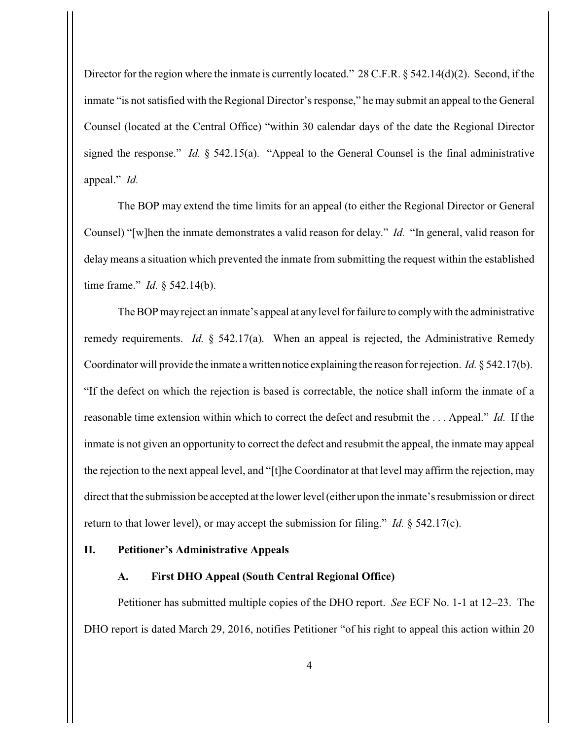Director for the region where the inmate is currently located." 28 C.F.R. § 542.14(d)(2). Second, if the inmate "is not satisfied with the Regional Director's response," he may submit an appeal to the General Counsel (located at the Central Office) "within 30 calendar days of the date the Regional Director signed the response." *Id.* § 542.15(a). "Appeal to the General Counsel is the final administrative appeal." *Id.*

The BOP may extend the time limits for an appeal (to either the Regional Director or General Counsel) "[w]hen the inmate demonstrates a valid reason for delay." *Id.* "In general, valid reason for delay means a situation which prevented the inmate from submitting the request within the established time frame." *Id.* § 542.14(b).

The BOP may reject an inmate's appeal at any level for failure to comply with the administrative remedy requirements. *Id.* § 542.17(a). When an appeal is rejected, the Administrative Remedy Coordinator will provide the inmate a written notice explaining the reason for rejection. *Id.* § 542.17(b). "If the defect on which the rejection is based is correctable, the notice shall inform the inmate of a reasonable time extension within which to correct the defect and resubmit the . . . Appeal." *Id.* If the inmate is not given an opportunity to correct the defect and resubmit the appeal, the inmate may appeal the rejection to the next appeal level, and "[t]he Coordinator at that level may affirm the rejection, may direct that the submission be accepted at the lower level (either upon the inmate's resubmission or direct return to that lower level), or may accept the submission for filing." *Id.* § 542.17(c).

#### **II. Petitioner's Administrative Appeals**

### **A. First DHO Appeal (South Central Regional Office)**

Petitioner has submitted multiple copies of the DHO report. *See* ECF No. 1-1 at 12–23. The DHO report is dated March 29, 2016, notifies Petitioner "of his right to appeal this action within 20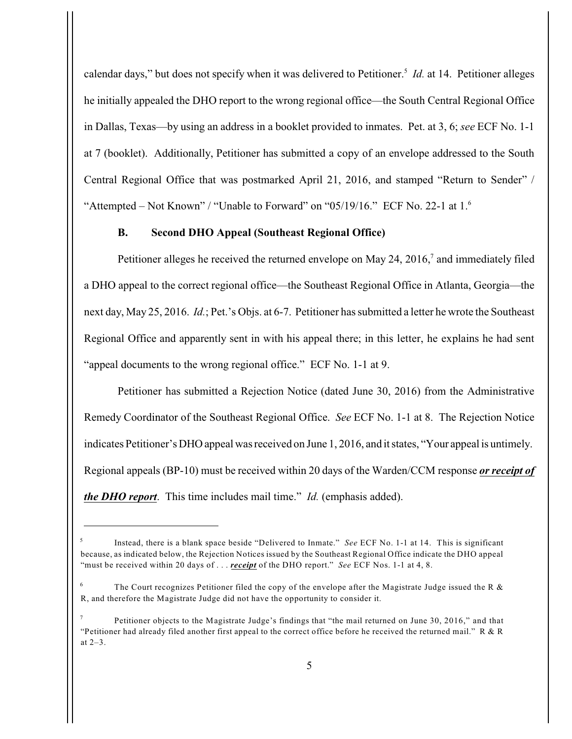calendar days," but does not specify when it was delivered to Petitioner.<sup>5</sup> *Id.* at 14. Petitioner alleges he initially appealed the DHO report to the wrong regional office—the South Central Regional Office in Dallas, Texas—by using an address in a booklet provided to inmates. Pet. at 3, 6; *see* ECF No. 1-1 at 7 (booklet). Additionally, Petitioner has submitted a copy of an envelope addressed to the South Central Regional Office that was postmarked April 21, 2016, and stamped "Return to Sender" / "Attempted – Not Known" / "Unable to Forward" on "05/19/16." ECF No. 22-1 at  $1<sup>6</sup>$ 

### **B. Second DHO Appeal (Southeast Regional Office)**

Petitioner alleges he received the returned envelope on May 24, 2016, $^7$  and immediately filed a DHO appeal to the correct regional office—the Southeast Regional Office in Atlanta, Georgia—the next day, May 25, 2016. *Id.*; Pet.'s Objs. at 6-7. Petitioner has submitted a letter he wrote the Southeast Regional Office and apparently sent in with his appeal there; in this letter, he explains he had sent "appeal documents to the wrong regional office." ECF No. 1-1 at 9.

Petitioner has submitted a Rejection Notice (dated June 30, 2016) from the Administrative Remedy Coordinator of the Southeast Regional Office. *See* ECF No. 1-1 at 8. The Rejection Notice indicates Petitioner's DHO appeal was received on June 1, 2016, and it states, "Your appeal is untimely. Regional appeals (BP-10) must be received within 20 days of the Warden/CCM response *or receipt of the DHO report*. This time includes mail time." *Id.* (emphasis added).

Instead, there is a blank space beside "Delivered to Inmate." *See* ECF No. 1-1 at 14. This is significant because, as indicated below, the Rejection Notices issued by the Southeast Regional Office indicate the DHO appeal "must be received within 20 days of . . . *receipt* of the DHO report." *See* ECF Nos. 1-1 at 4, 8.

The Court recognizes Petitioner filed the copy of the envelope after the Magistrate Judge issued the R  $\&$ R, and therefore the Magistrate Judge did not have the opportunity to consider it.

Petitioner objects to the Magistrate Judge's findings that "the mail returned on June 30, 2016," and that <sup>7</sup> "Petitioner had already filed another first appeal to the correct office before he received the returned mail." R & R at 2–3.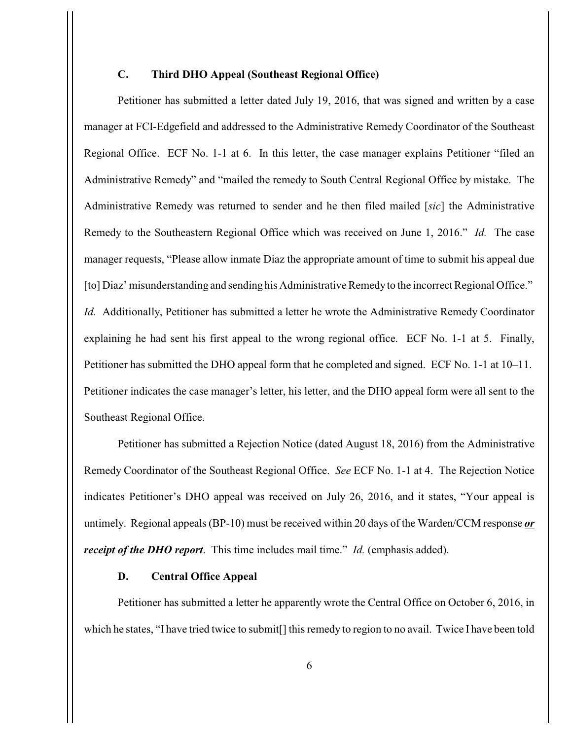# **C. Third DHO Appeal (Southeast Regional Office)**

Petitioner has submitted a letter dated July 19, 2016, that was signed and written by a case manager at FCI-Edgefield and addressed to the Administrative Remedy Coordinator of the Southeast Regional Office. ECF No. 1-1 at 6. In this letter, the case manager explains Petitioner "filed an Administrative Remedy" and "mailed the remedy to South Central Regional Office by mistake. The Administrative Remedy was returned to sender and he then filed mailed [*sic*] the Administrative Remedy to the Southeastern Regional Office which was received on June 1, 2016." *Id.* The case manager requests, "Please allow inmate Diaz the appropriate amount of time to submit his appeal due [to] Diaz' misunderstanding and sending his Administrative Remedy to the incorrect Regional Office." *Id.* Additionally, Petitioner has submitted a letter he wrote the Administrative Remedy Coordinator explaining he had sent his first appeal to the wrong regional office. ECF No. 1-1 at 5. Finally, Petitioner has submitted the DHO appeal form that he completed and signed. ECF No. 1-1 at 10–11. Petitioner indicates the case manager's letter, his letter, and the DHO appeal form were all sent to the Southeast Regional Office.

Petitioner has submitted a Rejection Notice (dated August 18, 2016) from the Administrative Remedy Coordinator of the Southeast Regional Office. *See* ECF No. 1-1 at 4. The Rejection Notice indicates Petitioner's DHO appeal was received on July 26, 2016, and it states, "Your appeal is untimely. Regional appeals (BP-10) must be received within 20 days of the Warden/CCM response *or receipt of the DHO report*. This time includes mail time." *Id.* (emphasis added).

### **D. Central Office Appeal**

Petitioner has submitted a letter he apparently wrote the Central Office on October 6, 2016, in which he states, "I have tried twice to submit[] this remedy to region to no avail. Twice I have been told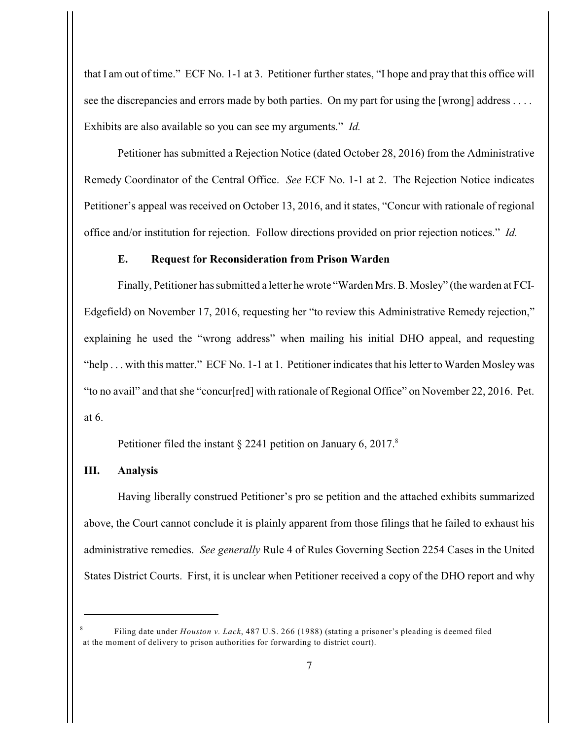that I am out of time." ECF No. 1-1 at 3. Petitioner further states, "I hope and pray that this office will see the discrepancies and errors made by both parties. On my part for using the [wrong] address .... Exhibits are also available so you can see my arguments." *Id.*

Petitioner has submitted a Rejection Notice (dated October 28, 2016) from the Administrative Remedy Coordinator of the Central Office. *See* ECF No. 1-1 at 2. The Rejection Notice indicates Petitioner's appeal was received on October 13, 2016, and it states, "Concur with rationale of regional office and/or institution for rejection. Follow directions provided on prior rejection notices." *Id.*

#### **E. Request for Reconsideration from Prison Warden**

Finally, Petitioner has submitted a letter he wrote "Warden Mrs. B. Mosley" (the warden at FCI-Edgefield) on November 17, 2016, requesting her "to review this Administrative Remedy rejection," explaining he used the "wrong address" when mailing his initial DHO appeal, and requesting "help . . . with this matter." ECF No. 1-1 at 1. Petitioner indicates that his letter to Warden Mosley was "to no avail" and that she "concur[red] with rationale of Regional Office" on November 22, 2016. Pet. at 6.

Petitioner filed the instant  $\S 2241$  petition on January 6, 2017.<sup>8</sup>

#### **III. Analysis**

Having liberally construed Petitioner's pro se petition and the attached exhibits summarized above, the Court cannot conclude it is plainly apparent from those filings that he failed to exhaust his administrative remedies. *See generally* Rule 4 of Rules Governing Section 2254 Cases in the United States District Courts. First, it is unclear when Petitioner received a copy of the DHO report and why

Filing date under *Houston v. Lack*, 487 U.S. 266 (1988) (stating a prisoner's pleading is deemed filed at the moment of delivery to prison authorities for forwarding to district court).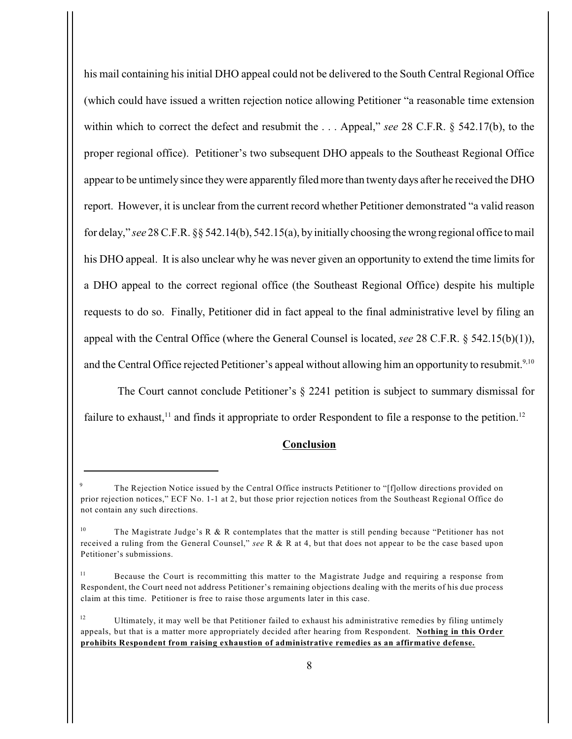his mail containing his initial DHO appeal could not be delivered to the South Central Regional Office (which could have issued a written rejection notice allowing Petitioner "a reasonable time extension within which to correct the defect and resubmit the . . . Appeal," *see* 28 C.F.R. § 542.17(b), to the proper regional office). Petitioner's two subsequent DHO appeals to the Southeast Regional Office appear to be untimely since they were apparently filed more than twenty days after he received the DHO report. However, it is unclear from the current record whether Petitioner demonstrated "a valid reason for delay," *see* 28 C.F.R. §§ 542.14(b), 542.15(a), by initially choosing the wrong regional office to mail his DHO appeal. It is also unclear why he was never given an opportunity to extend the time limits for a DHO appeal to the correct regional office (the Southeast Regional Office) despite his multiple requests to do so. Finally, Petitioner did in fact appeal to the final administrative level by filing an appeal with the Central Office (where the General Counsel is located, *see* 28 C.F.R. § 542.15(b)(1)), and the Central Office rejected Petitioner's appeal without allowing him an opportunity to resubmit.<sup>9,10</sup>

The Court cannot conclude Petitioner's § 2241 petition is subject to summary dismissal for failure to exhaust,<sup>11</sup> and finds it appropriate to order Respondent to file a response to the petition.<sup>12</sup>

## **Conclusion**

The Rejection Notice issued by the Central Office instructs Petitioner to "[f]ollow directions provided on <sup>9</sup> prior rejection notices," ECF No. 1-1 at 2, but those prior rejection notices from the Southeast Regional Office do not contain any such directions.

The Magistrate Judge's R & R contemplates that the matter is still pending because "Petitioner has not received a ruling from the General Counsel," *see* R & R at 4, but that does not appear to be the case based upon Petitioner's submissions.

<sup>&</sup>lt;sup>11</sup> Because the Court is recommitting this matter to the Magistrate Judge and requiring a response from Respondent, the Court need not address Petitioner's remaining objections dealing with the merits of his due process claim at this time. Petitioner is free to raise those arguments later in this case.

<sup>&</sup>lt;sup>12</sup> Ultimately, it may well be that Petitioner failed to exhaust his administrative remedies by filing untimely appeals, but that is a matter more appropriately decided after hearing from Respondent. **Nothing in this Order prohibits Respondent from raising exhaustion of administrative remedies as an affirmative defense.**